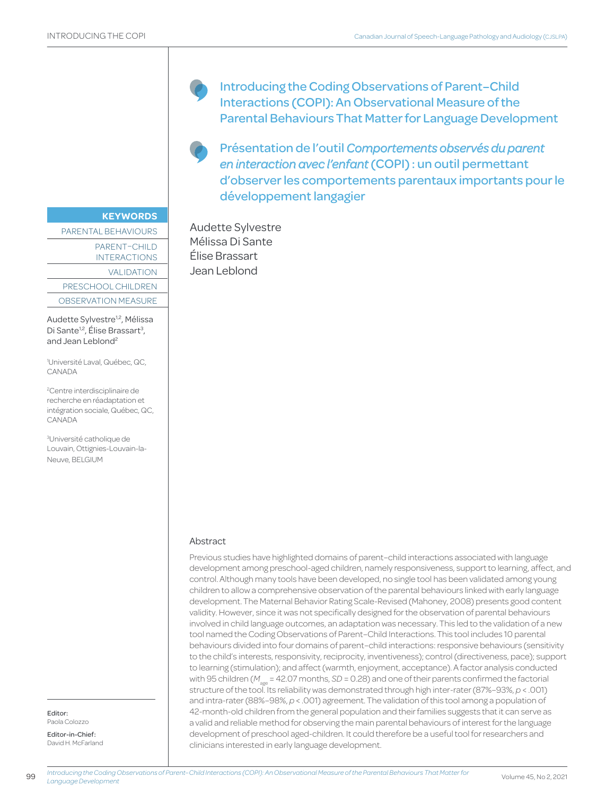**KEYWORDS**

PARENTAL BEHAVIOURS

PARENT–CHILD INTERACTIONS

VALIDATION

PRESCHOOL CHILDREN

OBSERVATION MEASURE

Audette Sylvestre<sup>1,2</sup>, Mélissa Di Sante<sup>1,2</sup>, Élise Brassart<sup>3</sup>, and Jean Leblond<sup>2</sup>

1 Université Laval, Québec, QC, CANADA

2 Centre interdisciplinaire de recherche en réadaptation et intégration sociale, Québec, QC, CANADA

3 Université catholique de Louvain, Ottignies-Louvain-la-Neuve, BELGIUM

Editor: Paola Colozzo

Editor-in-Chief: David H. McFarland Introducing the Coding Observations of Parent–Child Interactions (COPI): An Observational Measure of the Parental Behaviours That Matter for Language Development

Présentation de l'outil *Comportements observés du parent en interaction avec l'enfant* (COPI) : un outil permettant d'observer les comportements parentaux importants pour le développement langagier

Audette Sylvestre Mélissa Di Sante Élise Brassart Jean Leblond

# Abstract

Previous studies have highlighted domains of parent–child interactions associated with language development among preschool-aged children, namely responsiveness, support to learning, affect, and control. Although many tools have been developed, no single tool has been validated among young children to allow a comprehensive observation of the parental behaviours linked with early language development. The Maternal Behavior Rating Scale-Revised (Mahoney, 2008) presents good content validity. However, since it was not specifically designed for the observation of parental behaviours involved in child language outcomes, an adaptation was necessary. This led to the validation of a new tool named the Coding Observations of Parent–Child Interactions. This tool includes 10 parental behaviours divided into four domains of parent–child interactions: responsive behaviours (sensitivity to the child's interests, responsivity, reciprocity, inventiveness); control (directiveness, pace); support to learning (stimulation); and affect (warmth, enjoyment, acceptance). A factor analysis conducted with 95 children ( $M_{\text{ana}}$  = 42.07 months, *SD* = 0.28) and one of their parents confirmed the factorial structure of the tool. Its reliability was demonstrated through high inter-rater (87%–93%, *p* < .001) and intra-rater (88%–98%, *p* < .001) agreement. The validation of this tool among a population of 42-month-old children from the general population and their families suggests that it can serve as a valid and reliable method for observing the main parental behaviours of interest for the language development of preschool aged-children. It could therefore be a useful tool for researchers and clinicians interested in early language development.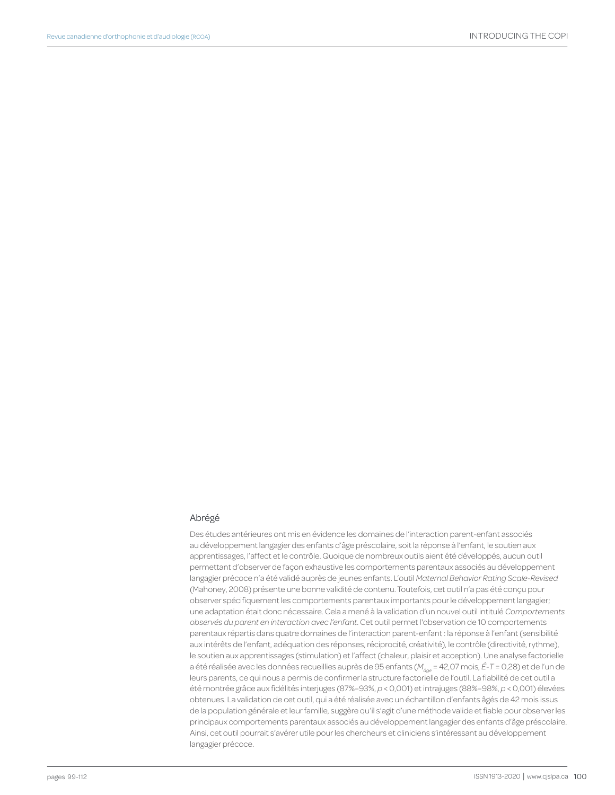#### Abrégé

Des études antérieures ont mis en évidence les domaines de l'interaction parent-enfant associés au développement langagier des enfants d'âge préscolaire, soit la réponse à l'enfant, le soutien aux apprentissages, l'affect et le contrôle. Quoique de nombreux outils aient été développés, aucun outil permettant d'observer de façon exhaustive les comportements parentaux associés au développement langagier précoce n'a été validé auprès de jeunes enfants. L'outil *Maternal Behavior Rating Scale-Revised* (Mahoney, 2008) présente une bonne validité de contenu. Toutefois, cet outil n'a pas été conçu pour observer spécifiquement les comportements parentaux importants pour le développement langagier; une adaptation était donc nécessaire. Cela a mené à la validation d'un nouvel outil intitulé *Comportements observés du parent en interaction avec l'enfant*. Cet outil permet l'observation de 10 comportements parentaux répartis dans quatre domaines de l'interaction parent-enfant : la réponse à l'enfant (sensibilité aux intérêts de l'enfant, adéquation des réponses, réciprocité, créativité), le contrôle (directivité, rythme), le soutien aux apprentissages (stimulation) et l'affect (chaleur, plaisir et acception). Une analyse factorielle a été réalisée avec les données recueillies auprès de 95 enfants (*Mâge* = 42,07 mois, *É-T* = 0,28) et de l'un de leurs parents, ce qui nous a permis de confirmer la structure factorielle de l'outil. La fiabilité de cet outil a été montrée grâce aux fidélités interjuges (87%–93%, *p* < 0,001) et intrajuges (88%–98%, *p* < 0,001) élevées obtenues. La validation de cet outil, qui a été réalisée avec un échantillon d'enfants âgés de 42 mois issus de la population générale et leur famille, suggère qu'il s'agit d'une méthode valide et fiable pour observer les principaux comportements parentaux associés au développement langagier des enfants d'âge préscolaire. Ainsi, cet outil pourrait s'avérer utile pour les chercheurs et cliniciens s'intéressant au développement langagier précoce.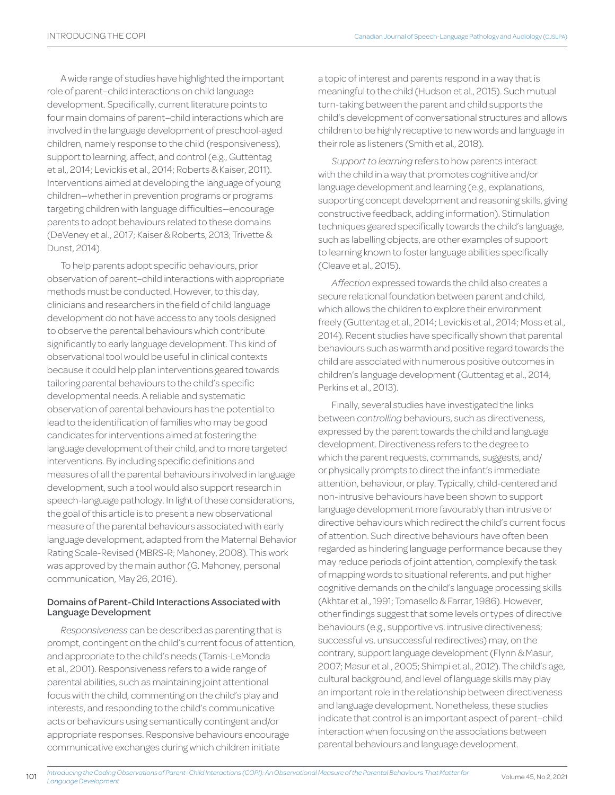A wide range of studies have highlighted the important role of parent–child interactions on child language development. Specifically, current literature points to four main domains of parent–child interactions which are involved in the language development of preschool-aged children, namely response to the child (responsiveness), support to learning, affect, and control (e.g., Guttentag et al., 2014; Levickis et al., 2014; Roberts & Kaiser, 2011). Interventions aimed at developing the language of young children—whether in prevention programs or programs targeting children with language difficulties—encourage parents to adopt behaviours related to these domains (DeVeney et al., 2017; Kaiser & Roberts, 2013; Trivette & Dunst, 2014).

To help parents adopt specific behaviours, prior observation of parent–child interactions with appropriate methods must be conducted. However, to this day, clinicians and researchers in the field of child language development do not have access to any tools designed to observe the parental behaviours which contribute significantly to early language development. This kind of observational tool would be useful in clinical contexts because it could help plan interventions geared towards tailoring parental behaviours to the child's specific developmental needs. A reliable and systematic observation of parental behaviours has the potential to lead to the identification of families who may be good candidates for interventions aimed at fostering the language development of their child, and to more targeted interventions. By including specific definitions and measures of all the parental behaviours involved in language development, such a tool would also support research in speech-language pathology. In light of these considerations, the goal of this article is to present a new observational measure of the parental behaviours associated with early language development, adapted from the Maternal Behavior Rating Scale-Revised (MBRS-R; Mahoney, 2008). This work was approved by the main author (G. Mahoney, personal communication, May 26, 2016).

### Domains of Parent-Child Interactions Associated with Language Development

*Responsiveness* can be described as parenting that is prompt, contingent on the child's current focus of attention, and appropriate to the child's needs (Tamis-LeMonda et al., 2001). Responsiveness refers to a wide range of parental abilities, such as maintaining joint attentional focus with the child, commenting on the child's play and interests, and responding to the child's communicative acts or behaviours using semantically contingent and/or appropriate responses. Responsive behaviours encourage communicative exchanges during which children initiate

a topic of interest and parents respond in a way that is meaningful to the child (Hudson et al., 2015). Such mutual turn-taking between the parent and child supports the child's development of conversational structures and allows children to be highly receptive to new words and language in their role as listeners (Smith et al., 2018).

*Support to learning* refers to how parents interact with the child in a way that promotes cognitive and/or language development and learning (e.g., explanations, supporting concept development and reasoning skills, giving constructive feedback, adding information). Stimulation techniques geared specifically towards the child's language, such as labelling objects, are other examples of support to learning known to foster language abilities specifically (Cleave et al., 2015).

*Affection* expressed towards the child also creates a secure relational foundation between parent and child, which allows the children to explore their environment freely (Guttentag et al., 2014; Levickis et al., 2014; Moss et al., 2014). Recent studies have specifically shown that parental behaviours such as warmth and positive regard towards the child are associated with numerous positive outcomes in children's language development (Guttentag et al., 2014; Perkins et al., 2013).

Finally, several studies have investigated the links between *controlling* behaviours, such as directiveness, expressed by the parent towards the child and language development. Directiveness refers to the degree to which the parent requests, commands, suggests, and/ or physically prompts to direct the infant's immediate attention, behaviour, or play. Typically, child-centered and non-intrusive behaviours have been shown to support language development more favourably than intrusive or directive behaviours which redirect the child's current focus of attention. Such directive behaviours have often been regarded as hindering language performance because they may reduce periods of joint attention, complexify the task of mapping words to situational referents, and put higher cognitive demands on the child's language processing skills (Akhtar et al., 1991; Tomasello & Farrar, 1986). However, other findings suggest that some levels or types of directive behaviours (e.g., supportive vs. intrusive directiveness; successful vs. unsuccessful redirectives) may, on the contrary, support language development (Flynn & Masur, 2007; Masur et al., 2005; Shimpi et al., 2012). The child's age, cultural background, and level of language skills may play an important role in the relationship between directiveness and language development. Nonetheless, these studies indicate that control is an important aspect of parent–child interaction when focusing on the associations between parental behaviours and language development.

101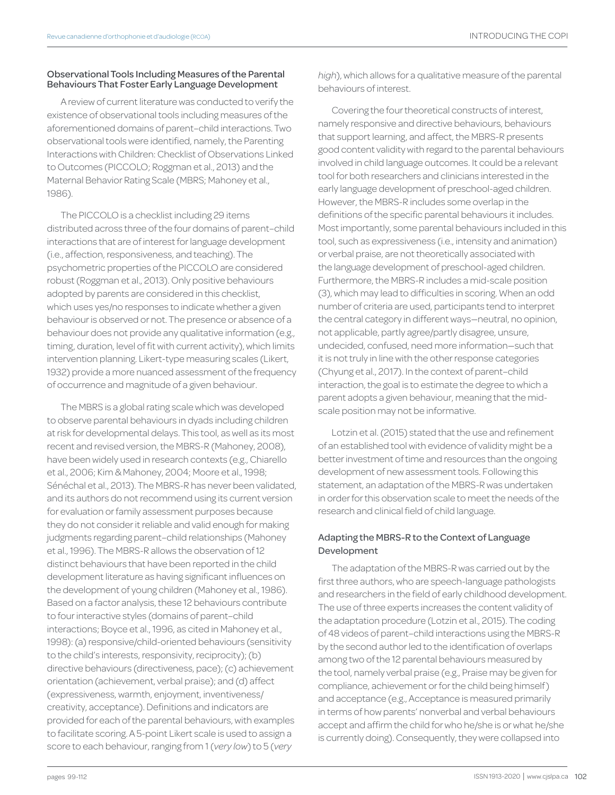## Observational Tools Including Measures of the Parental Behaviours That Foster Early Language Development

A review of current literature was conducted to verify the existence of observational tools including measures of the aforementioned domains of parent–child interactions. Two observational tools were identified, namely, the Parenting Interactions with Children: Checklist of Observations Linked to Outcomes (PICCOLO; Roggman et al., 2013) and the Maternal Behavior Rating Scale (MBRS; Mahoney et al., 1986).

The PICCOLO is a checklist including 29 items distributed across three of the four domains of parent–child interactions that are of interest for language development (i.e., affection, responsiveness, and teaching). The psychometric properties of the PICCOLO are considered robust (Roggman et al., 2013). Only positive behaviours adopted by parents are considered in this checklist, which uses yes/no responses to indicate whether a given behaviour is observed or not. The presence or absence of a behaviour does not provide any qualitative information (e.g., timing, duration, level of fit with current activity), which limits intervention planning. Likert-type measuring scales (Likert, 1932) provide a more nuanced assessment of the frequency of occurrence and magnitude of a given behaviour.

The MBRS is a global rating scale which was developed to observe parental behaviours in dyads including children at risk for developmental delays. This tool, as well as its most recent and revised version, the MBRS-R (Mahoney, 2008), have been widely used in research contexts (e.g., Chiarello et al., 2006; Kim & Mahoney, 2004; Moore et al., 1998; Sénéchal et al., 2013). The MBRS-R has never been validated, and its authors do not recommend using its current version for evaluation or family assessment purposes because they do not consider it reliable and valid enough for making judgments regarding parent–child relationships (Mahoney et al., 1996). The MBRS-R allows the observation of 12 distinct behaviours that have been reported in the child development literature as having significant influences on the development of young children (Mahoney et al., 1986). Based on a factor analysis, these 12 behaviours contribute to four interactive styles (domains of parent–child interactions; Boyce et al., 1996, as cited in Mahoney et al., 1998): (a) responsive/child-oriented behaviours (sensitivity to the child's interests, responsivity, reciprocity); (b) directive behaviours (directiveness, pace); (c) achievement orientation (achievement, verbal praise); and (d) affect (expressiveness, warmth, enjoyment, inventiveness/ creativity, acceptance). Definitions and indicators are provided for each of the parental behaviours, with examples to facilitate scoring. A 5-point Likert scale is used to assign a score to each behaviour, ranging from 1 (*very low*) to 5 (*very* 

*high*), which allows for a qualitative measure of the parental behaviours of interest.

Covering the four theoretical constructs of interest, namely responsive and directive behaviours, behaviours that support learning, and affect, the MBRS-R presents good content validity with regard to the parental behaviours involved in child language outcomes. It could be a relevant tool for both researchers and clinicians interested in the early language development of preschool-aged children. However, the MBRS-R includes some overlap in the definitions of the specific parental behaviours it includes. Most importantly, some parental behaviours included in this tool, such as expressiveness (i.e., intensity and animation) or verbal praise, are not theoretically associated with the language development of preschool-aged children. Furthermore, the MBRS-R includes a mid-scale position (3), which may lead to difficulties in scoring. When an odd number of criteria are used, participants tend to interpret the central category in different ways—neutral, no opinion, not applicable, partly agree/partly disagree, unsure, undecided, confused, need more information—such that it is not truly in line with the other response categories (Chyung et al., 2017). In the context of parent–child interaction, the goal is to estimate the degree to which a parent adopts a given behaviour, meaning that the midscale position may not be informative.

Lotzin et al. (2015) stated that the use and refinement of an established tool with evidence of validity might be a better investment of time and resources than the ongoing development of new assessment tools. Following this statement, an adaptation of the MBRS-R was undertaken in order for this observation scale to meet the needs of the research and clinical field of child language.

# Adapting the MBRS-R to the Context of Language Development

The adaptation of the MBRS-R was carried out by the first three authors, who are speech-language pathologists and researchers in the field of early childhood development. The use of three experts increases the content validity of the adaptation procedure (Lotzin et al., 2015). The coding of 48 videos of parent–child interactions using the MBRS-R by the second author led to the identification of overlaps among two of the 12 parental behaviours measured by the tool, namely verbal praise (e.g., Praise may be given for compliance, achievement or for the child being himself) and acceptance (e.g., Acceptance is measured primarily in terms of how parents' nonverbal and verbal behaviours accept and affirm the child for who he/she is or what he/she is currently doing). Consequently, they were collapsed into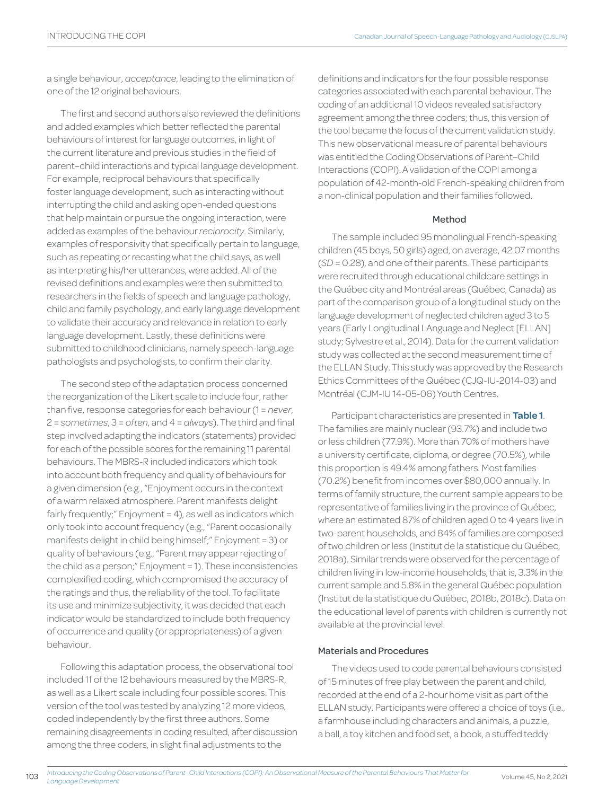a single behaviour, *acceptance*, leading to the elimination of one of the 12 original behaviours.

The first and second authors also reviewed the definitions and added examples which better reflected the parental behaviours of interest for language outcomes, in light of the current literature and previous studies in the field of parent–child interactions and typical language development. For example, reciprocal behaviours that specifically foster language development, such as interacting without interrupting the child and asking open-ended questions that help maintain or pursue the ongoing interaction, were added as examples of the behaviour *reciprocity*. Similarly, examples of responsivity that specifically pertain to language, such as repeating or recasting what the child says, as well as interpreting his/her utterances, were added. All of the revised definitions and examples were then submitted to researchers in the fields of speech and language pathology, child and family psychology, and early language development to validate their accuracy and relevance in relation to early language development. Lastly, these definitions were submitted to childhood clinicians, namely speech-language pathologists and psychologists, to confirm their clarity.

The second step of the adaptation process concerned the reorganization of the Likert scale to include four, rather than five, response categories for each behaviour (1 = *never*, 2 = *sometimes*, 3 = *often*, and 4 = *always*). The third and final step involved adapting the indicators (statements) provided for each of the possible scores for the remaining 11 parental behaviours. The MBRS-R included indicators which took into account both frequency and quality of behaviours for a given dimension (e.g., "Enjoyment occurs in the context of a warm relaxed atmosphere. Parent manifests delight fairly frequently;" Enjoyment = 4), as well as indicators which only took into account frequency (e.g., "Parent occasionally manifests delight in child being himself;" Enjoyment = 3) or quality of behaviours (e.g., "Parent may appear rejecting of the child as a person;" Enjoyment = 1). These inconsistencies complexified coding, which compromised the accuracy of the ratings and thus, the reliability of the tool. To facilitate its use and minimize subjectivity, it was decided that each indicator would be standardized to include both frequency of occurrence and quality (or appropriateness) of a given behaviour.

Following this adaptation process, the observational tool included 11 of the 12 behaviours measured by the MBRS-R, as well as a Likert scale including four possible scores. This version of the tool was tested by analyzing 12 more videos, coded independently by the first three authors. Some remaining disagreements in coding resulted, after discussion among the three coders, in slight final adjustments to the

103

definitions and indicators for the four possible response categories associated with each parental behaviour. The coding of an additional 10 videos revealed satisfactory agreement among the three coders; thus, this version of the tool became the focus of the current validation study. This new observational measure of parental behaviours was entitled the Coding Observations of Parent–Child Interactions (COPI). A validation of the COPI among a population of 42-month-old French-speaking children from a non-clinical population and their families followed.

## Method

The sample included 95 monolingual French-speaking children (45 boys, 50 girls) aged, on average, 42.07 months (*SD* = 0.28), and one of their parents. These participants were recruited through educational childcare settings in the Québec city and Montréal areas (Québec, Canada) as part of the comparison group of a longitudinal study on the language development of neglected children aged 3 to 5 years (Early Longitudinal LAnguage and Neglect [ELLAN] study; Sylvestre et al., 2014). Data for the current validation study was collected at the second measurement time of the ELLAN Study. This study was approved by the Research Ethics Committees of the Québec (CJQ-IU-2014-03) and Montréal (CJM-IU 14-05-06) Youth Centres.

Participant characteristics are presented in **Table 1**. The families are mainly nuclear (93.7%) and include two or less children (77.9%). More than 70% of mothers have a university certificate, diploma, or degree (70.5%), while this proportion is 49.4% among fathers. Most families (70.2%) benefit from incomes over \$80,000 annually. In terms of family structure, the current sample appears to be representative of families living in the province of Québec, where an estimated 87% of children aged 0 to 4 years live in two-parent households, and 84% of families are composed of two children or less (Institut de la statistique du Québec, 2018a). Similar trends were observed for the percentage of children living in low-income households, that is, 3.3% in the current sample and 5.8% in the general Québec population (Institut de la statistique du Québec, 2018b, 2018c). Data on the educational level of parents with children is currently not available at the provincial level.

### Materials and Procedures

The videos used to code parental behaviours consisted of 15 minutes of free play between the parent and child, recorded at the end of a 2-hour home visit as part of the ELLAN study. Participants were offered a choice of toys (i.e., a farmhouse including characters and animals, a puzzle, a ball, a toy kitchen and food set, a book, a stuffed teddy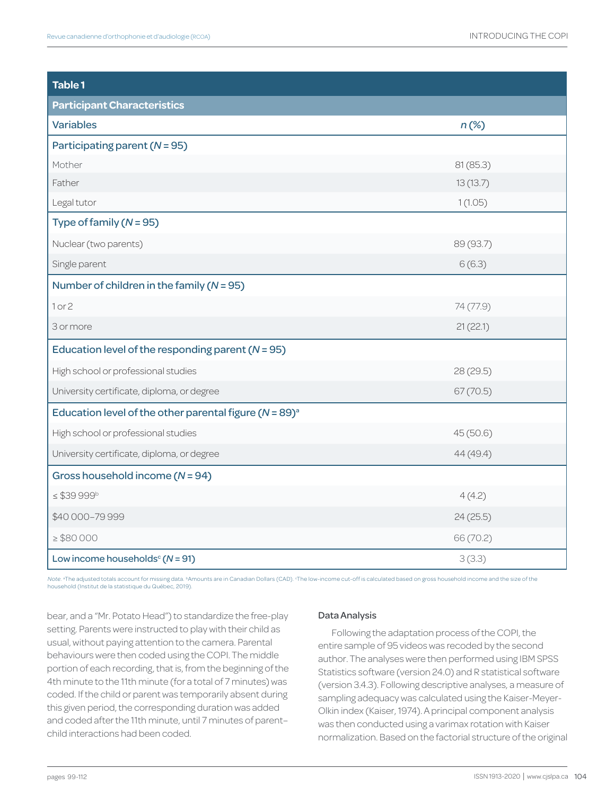| <b>Table 1</b>                                                         |           |
|------------------------------------------------------------------------|-----------|
| <b>Participant Characteristics</b>                                     |           |
| <b>Variables</b>                                                       | $n(\%)$   |
| Participating parent $(N = 95)$                                        |           |
| Mother                                                                 | 81(85.3)  |
| Father                                                                 | 13(13.7)  |
| Legal tutor                                                            | 1(1.05)   |
| Type of family $(N = 95)$                                              |           |
| Nuclear (two parents)                                                  | 89 (93.7) |
| Single parent                                                          | 6(6.3)    |
| Number of children in the family $(N = 95)$                            |           |
| 1 or 2                                                                 | 74 (77.9) |
| 3 or more                                                              | 21(22.1)  |
| Education level of the responding parent $(N = 95)$                    |           |
| High school or professional studies                                    | 28 (29.5) |
| University certificate, diploma, or degree                             | 67(70.5)  |
| Education level of the other parental figure ( $N = 89$ ) <sup>a</sup> |           |
| High school or professional studies                                    | 45(50.6)  |
| University certificate, diploma, or degree                             | 44 (49.4) |
| Gross household income $(N = 94)$                                      |           |
| $\leq$ \$39 999b                                                       | 4(4.2)    |
| \$40 000-79 999                                                        | 24(25.5)  |
| $\geq$ \$80 000                                                        | 66 (70.2) |
| Low income households <sup>c</sup> ( $N = 91$ )                        | 3(3.3)    |

Note. ªThe adjusted totals account for missing data. ʰAmounts are in Canadian Dollars (CAD). "The low-income cut-off is calculated based on gross household income and the size of the<br>household (Institut de la statistique d

bear, and a "Mr. Potato Head") to standardize the free-play setting. Parents were instructed to play with their child as usual, without paying attention to the camera. Parental behaviours were then coded using the COPI. The middle portion of each recording, that is, from the beginning of the 4th minute to the 11th minute (for a total of 7 minutes) was coded. If the child or parent was temporarily absent during this given period, the corresponding duration was added and coded after the 11th minute, until 7 minutes of parent– child interactions had been coded.

# Data Analysis

Following the adaptation process of the COPI, the entire sample of 95 videos was recoded by the second author. The analyses were then performed using IBM SPSS Statistics software (version 24.0) and R statistical software (version 3.4.3). Following descriptive analyses, a measure of sampling adequacy was calculated using the Kaiser-Meyer-Olkin index (Kaiser, 1974). A principal component analysis was then conducted using a varimax rotation with Kaiser normalization. Based on the factorial structure of the original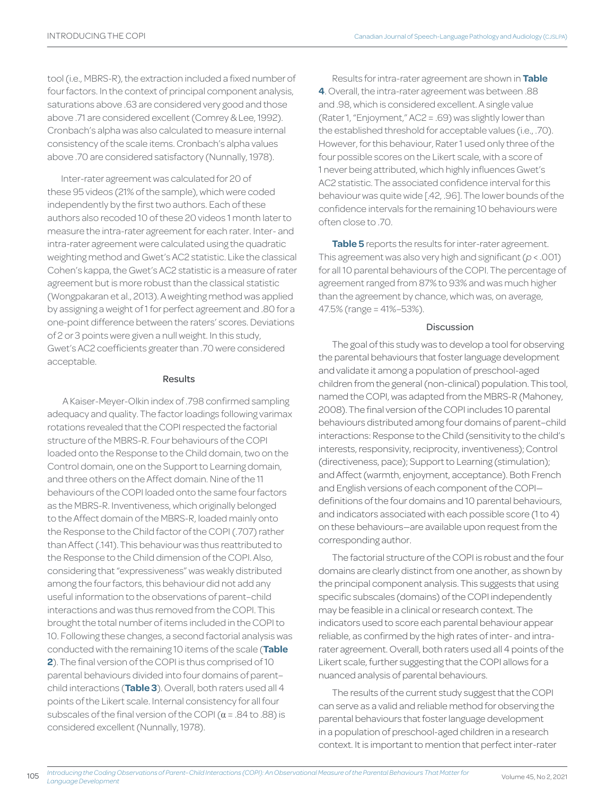tool (i.e., MBRS-R), the extraction included a fixed number of four factors. In the context of principal component analysis, saturations above .63 are considered very good and those above .71 are considered excellent (Comrey & Lee, 1992). Cronbach's alpha was also calculated to measure internal consistency of the scale items. Cronbach's alpha values above .70 are considered satisfactory (Nunnally, 1978).

Inter-rater agreement was calculated for 20 of these 95 videos (21% of the sample), which were coded independently by the first two authors. Each of these authors also recoded 10 of these 20 videos 1 month later to measure the intra-rater agreement for each rater. Inter- and intra-rater agreement were calculated using the quadratic weighting method and Gwet's AC2 statistic. Like the classical Cohen's kappa, the Gwet's AC2 statistic is a measure of rater agreement but is more robust than the classical statistic (Wongpakaran et al., 2013). A weighting method was applied by assigning a weight of 1 for perfect agreement and .80 for a one-point difference between the raters' scores. Deviations of 2 or 3 points were given a null weight. In this study, Gwet's AC2 coefficients greater than .70 were considered acceptable.

### Results

 A Kaiser-Meyer-Olkin index of .798 confirmed sampling adequacy and quality. The factor loadings following varimax rotations revealed that the COPI respected the factorial structure of the MBRS-R. Four behaviours of the COPI loaded onto the Response to the Child domain, two on the Control domain, one on the Support to Learning domain, and three others on the Affect domain. Nine of the 11 behaviours of the COPI loaded onto the same four factors as the MBRS-R. Inventiveness, which originally belonged to the Affect domain of the MBRS-R, loaded mainly onto the Response to the Child factor of the COPI (.707) rather than Affect (.141). This behaviour was thus reattributed to the Response to the Child dimension of the COPI. Also, considering that "expressiveness" was weakly distributed among the four factors, this behaviour did not add any useful information to the observations of parent–child interactions and was thus removed from the COPI. This brought the total number of items included in the COPI to 10. Following these changes, a second factorial analysis was conducted with the remaining 10 items of the scale (**Table 2**). The final version of the COPI is thus comprised of 10 parental behaviours divided into four domains of parent– child interactions (**Table 3**). Overall, both raters used all 4 points of the Likert scale. Internal consistency for all four subscales of the final version of the COPI ( $\alpha$  = .84 to .88) is considered excellent (Nunnally, 1978).

Results for intra-rater agreement are shown in **Table 4**. Overall, the intra-rater agreement was between .88 and .98, which is considered excellent. A single value (Rater 1, "Enjoyment," AC2 = .69) was slightly lower than the established threshold for acceptable values (i.e., .70). However, for this behaviour, Rater 1 used only three of the four possible scores on the Likert scale, with a score of 1 never being attributed, which highly influences Gwet's AC2 statistic. The associated confidence interval for this behaviour was quite wide [.42, .96]. The lower bounds of the confidence intervals for the remaining 10 behaviours were often close to .70.

**Table 5** reports the results for inter-rater agreement. This agreement was also very high and significant (*p* < .001) for all 10 parental behaviours of the COPI. The percentage of agreement ranged from 87% to 93% and was much higher than the agreement by chance, which was, on average, 47.5% (range = 41%–53%).

### **Discussion**

The goal of this study was to develop a tool for observing the parental behaviours that foster language development and validate it among a population of preschool-aged children from the general (non-clinical) population. This tool, named the COPI, was adapted from the MBRS-R (Mahoney, 2008). The final version of the COPI includes 10 parental behaviours distributed among four domains of parent–child interactions: Response to the Child (sensitivity to the child's interests, responsivity, reciprocity, inventiveness); Control (directiveness, pace); Support to Learning (stimulation); and Affect (warmth, enjoyment, acceptance). Both French and English versions of each component of the COPI definitions of the four domains and 10 parental behaviours, and indicators associated with each possible score (1 to 4) on these behaviours—are available upon request from the corresponding author.

The factorial structure of the COPI is robust and the four domains are clearly distinct from one another, as shown by the principal component analysis. This suggests that using specific subscales (domains) of the COPI independently may be feasible in a clinical or research context. The indicators used to score each parental behaviour appear reliable, as confirmed by the high rates of inter- and intrarater agreement. Overall, both raters used all 4 points of the Likert scale, further suggesting that the COPI allows for a nuanced analysis of parental behaviours.

The results of the current study suggest that the COPI can serve as a valid and reliable method for observing the parental behaviours that foster language development in a population of preschool-aged children in a research context. It is important to mention that perfect inter-rater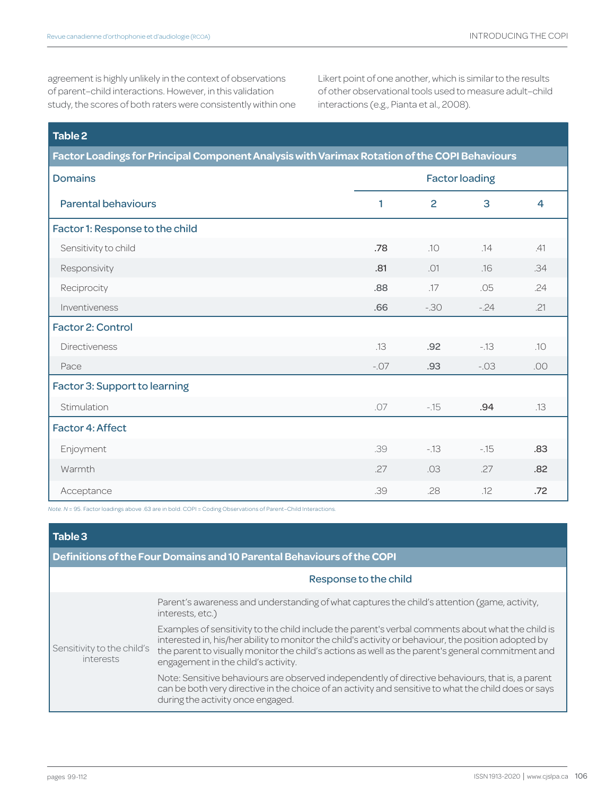agreement is highly unlikely in the context of observations of parent–child interactions. However, in this validation study, the scores of both raters were consistently within one Likert point of one another, which is similar to the results of other observational tools used to measure adult–child interactions (e.g., Pianta et al., 2008).

| Table 2<br>Factor Loadings for Principal Component Analysis with Varimax Rotation of the COPI Behaviours |        |                |        |     |  |
|----------------------------------------------------------------------------------------------------------|--------|----------------|--------|-----|--|
|                                                                                                          |        |                |        |     |  |
| <b>Parental behaviours</b>                                                                               | 1      | $\overline{2}$ | 3      | 4   |  |
| Factor 1: Response to the child                                                                          |        |                |        |     |  |
| Sensitivity to child                                                                                     | .78    | .10            | .14    | .41 |  |
| Responsivity                                                                                             | .81    | .01            | .16    | .34 |  |
| Reciprocity                                                                                              | .88    | .17            | .05    | .24 |  |
| Inventiveness                                                                                            | .66    | $-30$          | $-24$  | .21 |  |
| <b>Factor 2: Control</b>                                                                                 |        |                |        |     |  |
| <b>Directiveness</b>                                                                                     | .13    | .92            | $-13$  | .10 |  |
| Pace                                                                                                     | $-.07$ | .93            | $-.03$ | .00 |  |
| Factor 3: Support to learning                                                                            |        |                |        |     |  |
| Stimulation                                                                                              | .07    | $-15$          | .94    | .13 |  |
| <b>Factor 4: Affect</b>                                                                                  |        |                |        |     |  |
| Enjoyment                                                                                                | .39    | $-13$          | $-15$  | .83 |  |
| Warmth                                                                                                   | .27    | .03            | .27    | .82 |  |
| Acceptance                                                                                               | .39    | .28            | .12    | .72 |  |

*Note. N* = 95. Factor loadings above .63 are in bold. COPI = Coding Observations of Parent–Child Interactions.

| Table 3                                                                |                                                                                                                                                                                                                                                                                                                                                       |  |  |  |
|------------------------------------------------------------------------|-------------------------------------------------------------------------------------------------------------------------------------------------------------------------------------------------------------------------------------------------------------------------------------------------------------------------------------------------------|--|--|--|
| Definitions of the Four Domains and 10 Parental Behaviours of the COPI |                                                                                                                                                                                                                                                                                                                                                       |  |  |  |
|                                                                        | Response to the child                                                                                                                                                                                                                                                                                                                                 |  |  |  |
| Sensitivity to the child's<br>interests                                | Parent's awareness and understanding of what captures the child's attention (game, activity,<br>interests, etc.)                                                                                                                                                                                                                                      |  |  |  |
|                                                                        | Examples of sensitivity to the child include the parent's verbal comments about what the child is<br>interested in, his/her ability to monitor the child's activity or behaviour, the position adopted by<br>the parent to visually monitor the child's actions as well as the parent's general commitment and<br>engagement in the child's activity. |  |  |  |
|                                                                        | Note: Sensitive behaviours are observed independently of directive behaviours, that is, a parent<br>can be both very directive in the choice of an activity and sensitive to what the child does or says<br>during the activity once engaged.                                                                                                         |  |  |  |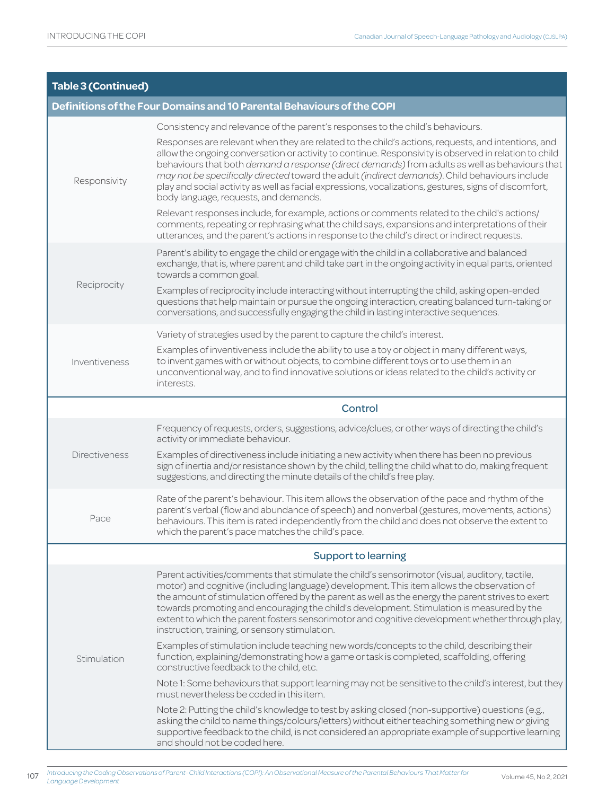| <b>Table 3 (Continued)</b> |                                                                                                                                                                                                                                                                                                                                                                                                                                                                                                                                                                   |
|----------------------------|-------------------------------------------------------------------------------------------------------------------------------------------------------------------------------------------------------------------------------------------------------------------------------------------------------------------------------------------------------------------------------------------------------------------------------------------------------------------------------------------------------------------------------------------------------------------|
|                            | Definitions of the Four Domains and 10 Parental Behaviours of the COPI                                                                                                                                                                                                                                                                                                                                                                                                                                                                                            |
|                            | Consistency and relevance of the parent's responses to the child's behaviours.                                                                                                                                                                                                                                                                                                                                                                                                                                                                                    |
| Responsivity               | Responses are relevant when they are related to the child's actions, requests, and intentions, and<br>allow the ongoing conversation or activity to continue. Responsivity is observed in relation to child<br>behaviours that both demand a response (direct demands) from adults as well as behaviours that<br>may not be specifically directed toward the adult (indirect demands). Child behaviours include<br>play and social activity as well as facial expressions, vocalizations, gestures, signs of discomfort,<br>body language, requests, and demands. |
|                            | Relevant responses include, for example, actions or comments related to the child's actions/<br>comments, repeating or rephrasing what the child says, expansions and interpretations of their<br>utterances, and the parent's actions in response to the child's direct or indirect requests.                                                                                                                                                                                                                                                                    |
|                            | Parent's ability to engage the child or engage with the child in a collaborative and balanced<br>exchange, that is, where parent and child take part in the ongoing activity in equal parts, oriented<br>towards a common goal.                                                                                                                                                                                                                                                                                                                                   |
| Reciprocity                | Examples of reciprocity include interacting without interrupting the child, asking open-ended<br>questions that help maintain or pursue the ongoing interaction, creating balanced turn-taking or<br>conversations, and successfully engaging the child in lasting interactive sequences.                                                                                                                                                                                                                                                                         |
|                            | Variety of strategies used by the parent to capture the child's interest.                                                                                                                                                                                                                                                                                                                                                                                                                                                                                         |
| Inventiveness              | Examples of inventiveness include the ability to use a toy or object in many different ways,<br>to invent games with or without objects, to combine different toys or to use them in an<br>unconventional way, and to find innovative solutions or ideas related to the child's activity or<br>interests.                                                                                                                                                                                                                                                         |
|                            | Control                                                                                                                                                                                                                                                                                                                                                                                                                                                                                                                                                           |
|                            | Frequency of requests, orders, suggestions, advice/clues, or other ways of directing the child's<br>activity or immediate behaviour.                                                                                                                                                                                                                                                                                                                                                                                                                              |
| <b>Directiveness</b>       | Examples of directiveness include initiating a new activity when there has been no previous<br>sign of inertia and/or resistance shown by the child, telling the child what to do, making frequent<br>suggestions, and directing the minute details of the child's free play.                                                                                                                                                                                                                                                                                     |
| Pace                       | Rate of the parent's behaviour. This item allows the observation of the pace and rhythm of the<br>parent's verbal (flow and abundance of speech) and nonverbal (gestures, movements, actions)<br>behaviours. This item is rated independently from the child and does not observe the extent to<br>which the parent's pace matches the child's pace.                                                                                                                                                                                                              |
|                            | <b>Support to learning</b>                                                                                                                                                                                                                                                                                                                                                                                                                                                                                                                                        |
| Stimulation                | Parent activities/comments that stimulate the child's sensorimotor (visual, auditory, tactile,<br>motor) and cognitive (including language) development. This item allows the observation of<br>the amount of stimulation offered by the parent as well as the energy the parent strives to exert<br>towards promoting and encouraging the child's development. Stimulation is measured by the<br>extent to which the parent fosters sensorimotor and cognitive development whether through play,<br>instruction, training, or sensory stimulation.               |
|                            | Examples of stimulation include teaching new words/concepts to the child, describing their<br>function, explaining/demonstrating how a game or task is completed, scaffolding, offering<br>constructive feedback to the child, etc.                                                                                                                                                                                                                                                                                                                               |
|                            | Note 1: Some behaviours that support learning may not be sensitive to the child's interest, but they<br>must nevertheless be coded in this item.                                                                                                                                                                                                                                                                                                                                                                                                                  |
|                            | Note 2: Putting the child's knowledge to test by asking closed (non-supportive) questions (e.g.,<br>asking the child to name things/colours/letters) without either teaching something new or giving<br>supportive feedback to the child, is not considered an appropriate example of supportive learning<br>and should not be coded here.                                                                                                                                                                                                                        |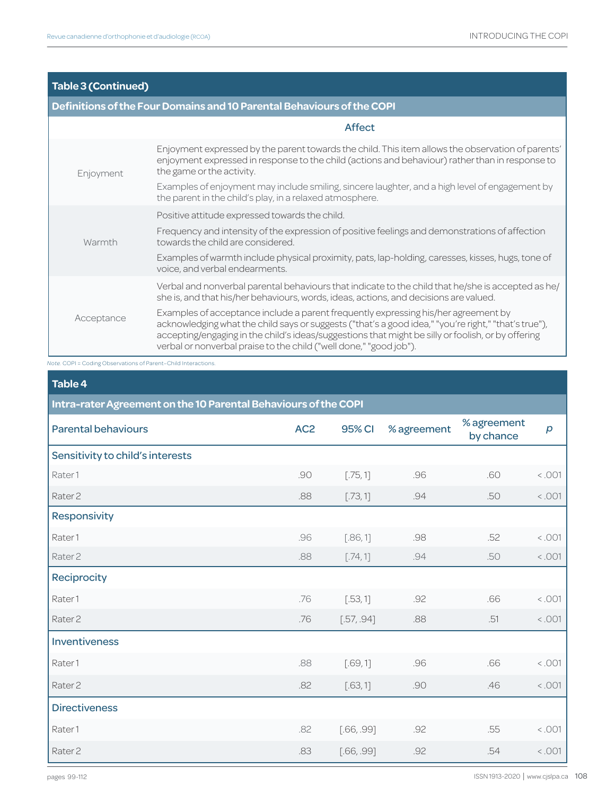# **Table 3 (Continued)**

# **Definitions of the Four Domains and 10 Parental Behaviours of the COPI**

|            | <b>Affect</b>                                                                                                                                                                                                                                                                                                                                                          |
|------------|------------------------------------------------------------------------------------------------------------------------------------------------------------------------------------------------------------------------------------------------------------------------------------------------------------------------------------------------------------------------|
| Enjoyment  | Enjoyment expressed by the parent towards the child. This item allows the observation of parents'<br>enjoyment expressed in response to the child (actions and behaviour) rather than in response to<br>the game or the activity.                                                                                                                                      |
|            | Examples of enjoyment may include smiling, sincere laughter, and a high level of engagement by<br>the parent in the child's play, in a relaxed atmosphere.                                                                                                                                                                                                             |
|            | Positive attitude expressed towards the child.                                                                                                                                                                                                                                                                                                                         |
| Warmth     | Frequency and intensity of the expression of positive feelings and demonstrations of affection<br>towards the child are considered.                                                                                                                                                                                                                                    |
|            | Examples of warmth include physical proximity, pats, lap-holding, caresses, kisses, hugs, tone of<br>voice, and verbal endearments.                                                                                                                                                                                                                                    |
| Acceptance | Verbal and nonverbal parental behaviours that indicate to the child that he/she is accepted as he/<br>she is, and that his/her behaviours, words, ideas, actions, and decisions are valued.                                                                                                                                                                            |
|            | Examples of acceptance include a parent frequently expressing his/her agreement by<br>acknowledging what the child says or suggests ("that's a good idea," "you're right," "that's true"),<br>accepting/engaging in the child's ideas/suggestions that might be silly or foolish, or by offering<br>verbal or nonverbal praise to the child ("well done," "good job"). |

*Note.* COPI = Coding Observations of Parent–Child Interactions.

| Table 4                                                         |                 |               |             |                          |                  |  |
|-----------------------------------------------------------------|-----------------|---------------|-------------|--------------------------|------------------|--|
| Intra-rater Agreement on the 10 Parental Behaviours of the COPI |                 |               |             |                          |                  |  |
| <b>Parental behaviours</b>                                      | AC <sub>2</sub> | <b>95% CI</b> | % agreement | % agreement<br>by chance | $\boldsymbol{p}$ |  |
| Sensitivity to child's interests                                |                 |               |             |                          |                  |  |
| Rater1                                                          | .90             | [.75, 1]      | .96         | .60                      | 100.5            |  |
| Rater <sub>2</sub>                                              | .88             | [.73, 1]      | .94         | .50                      | < .001           |  |
| Responsivity                                                    |                 |               |             |                          |                  |  |
| Rater1                                                          | .96             | [.86, 1]      | .98         | .52                      | < .001           |  |
| Rater <sub>2</sub>                                              | .88             | [.74, 1]      | .94         | .50                      | < .001           |  |
| Reciprocity                                                     |                 |               |             |                          |                  |  |
| Rater1                                                          | .76             | [.53, 1]      | .92         | .66                      | < .001           |  |
| Rater <sub>2</sub>                                              | .76             | [.57, .94]    | .88         | .51                      | < .001           |  |
| Inventiveness                                                   |                 |               |             |                          |                  |  |
| Rater1                                                          | .88             | [.69, 1]      | .96         | .66                      | < .001           |  |
| Rater <sub>2</sub>                                              | .82             | [.63, 1]      | .90         | .46                      | < .001           |  |
| <b>Directiveness</b>                                            |                 |               |             |                          |                  |  |
| Rater1                                                          | .82             | [.66, .99]    | .92         | .55                      | < .001           |  |
| Rater <sub>2</sub>                                              | .83             | [.66, .99]    | .92         | .54                      | < .001           |  |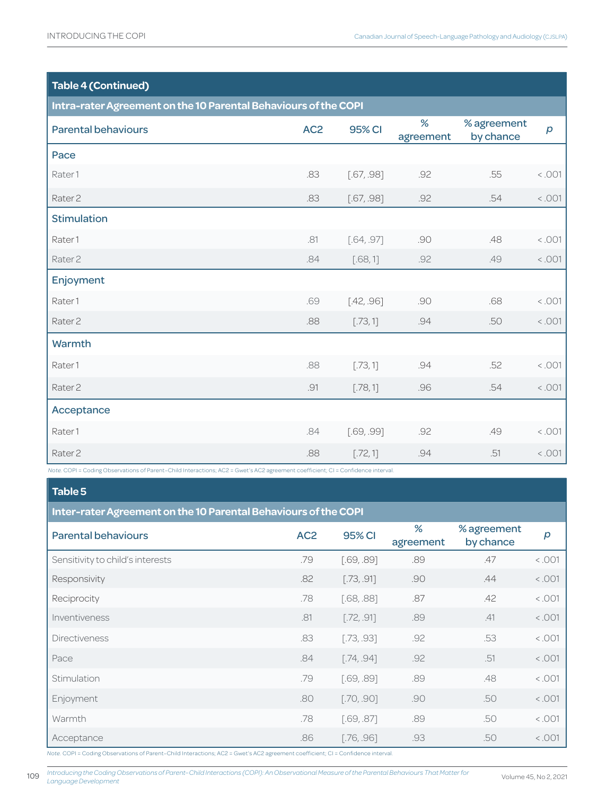# **Table 4 (Continued)**

| Intra-rater Agreement on the 10 Parental Behaviours of the COPI                                                                                        |                 |               |                |                          |                  |
|--------------------------------------------------------------------------------------------------------------------------------------------------------|-----------------|---------------|----------------|--------------------------|------------------|
| <b>Parental behaviours</b>                                                                                                                             | AC <sub>2</sub> | <b>95% CI</b> | %<br>agreement | % agreement<br>by chance | $\boldsymbol{p}$ |
| Pace                                                                                                                                                   |                 |               |                |                          |                  |
| Rater1                                                                                                                                                 | .83             | [.67, .98]    | .92            | .55                      | < .001           |
| Rater <sub>2</sub>                                                                                                                                     | .83             | [.67, .98]    | .92            | .54                      | 1001 <           |
| <b>Stimulation</b>                                                                                                                                     |                 |               |                |                          |                  |
| Rater1                                                                                                                                                 | .81             | [.64, .97]    | .90            | .48                      | < .001           |
| Rater <sub>2</sub>                                                                                                                                     | .84             | [.68, 1]      | .92            | .49                      | 1001             |
| Enjoyment                                                                                                                                              |                 |               |                |                          |                  |
| Rater1                                                                                                                                                 | .69             | [.42, .96]    | .90            | .68                      | < .001           |
| Rater <sub>2</sub>                                                                                                                                     | .88             | [.73, 1]      | .94            | .50                      | 1001             |
| Warmth                                                                                                                                                 |                 |               |                |                          |                  |
| Rater1                                                                                                                                                 | .88             | [.73, 1]      | .94            | .52                      | < .001           |
| Rater <sub>2</sub>                                                                                                                                     | .91             | [.78, 1]      | .96            | .54                      | < .001           |
| Acceptance                                                                                                                                             |                 |               |                |                          |                  |
| Rater1                                                                                                                                                 | .84             | [.69, .99]    | .92            | .49                      | < .001           |
| Rater <sub>2</sub><br>Note. COPI = Coding Observations of Parent-Child Interactions; AC2 = Gwet's AC2 agreement coefficient; CI = Confidence interval. | .88             | [.72, 1]      | .94            | .51                      | < .001           |

# **Table 5**

| Inter-rater Agreement on the 10 Parental Behaviours of the COPI |                 |            |                |                          |        |
|-----------------------------------------------------------------|-----------------|------------|----------------|--------------------------|--------|
| <b>Parental behaviours</b>                                      | AC <sub>2</sub> | 95% CI     | %<br>agreement | % agreement<br>by chance | p      |
| Sensitivity to child's interests                                | .79             | [.69, .89] | .89            | .47                      | 100.5  |
| Responsivity                                                    | .82             | [.73, .91] | .90            | .44                      | 100.5  |
| Reciprocity                                                     | .78             | [.68, .88] | .87            | .42                      | < .001 |
| Inventiveness                                                   | .81             | [.72, .91] | .89            | .41                      | 100.5  |
| <b>Directiveness</b>                                            | .83             | [.73, .93] | .92            | .53                      | 100.5  |
| Pace                                                            | .84             | [.74, .94] | .92            | .51                      | 100.5  |
| Stimulation                                                     | .79             | [.69, .89] | .89            | .48                      | < .001 |
| Enjoyment                                                       | .80             | [.70, .90] | .90            | .50                      | < .001 |
| Warmth                                                          | .78             | [.69, .87] | .89            | .50                      | 100.5  |
| Acceptance                                                      | .86             | [.76, .96] | .93            | .50                      | < .001 |

*Note.* COPI = Coding Observations of Parent–Child Interactions; AC2 = Gwet's AC2 agreement coefficient; CI = Confidence interval.

*Introducing the Coding Observations of Parent–Child Interactions (COPI): An Observational Measure of the Parental Behaviours That Matter for Language Development*

109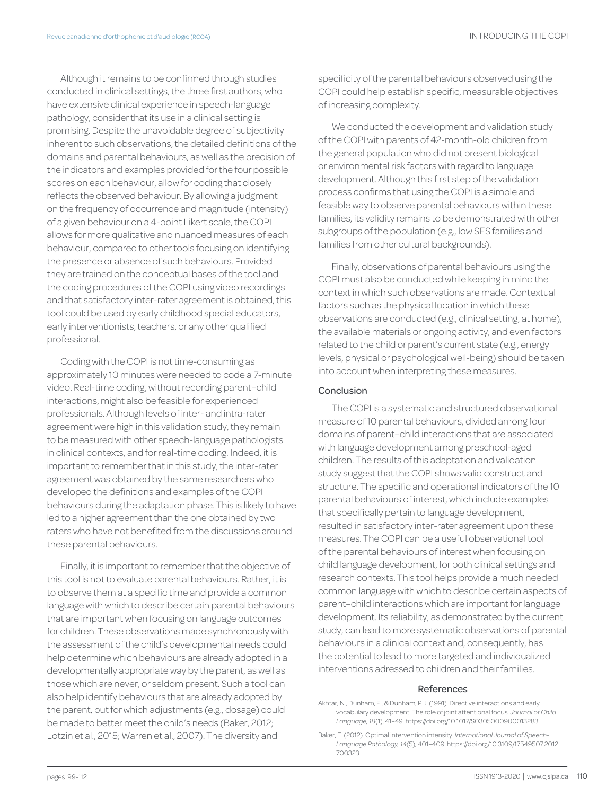Although it remains to be confirmed through studies conducted in clinical settings, the three first authors, who have extensive clinical experience in speech-language pathology, consider that its use in a clinical setting is promising. Despite the unavoidable degree of subjectivity inherent to such observations, the detailed definitions of the domains and parental behaviours, as well as the precision of the indicators and examples provided for the four possible scores on each behaviour, allow for coding that closely reflects the observed behaviour. By allowing a judgment on the frequency of occurrence and magnitude (intensity) of a given behaviour on a 4-point Likert scale, the COPI allows for more qualitative and nuanced measures of each behaviour, compared to other tools focusing on identifying the presence or absence of such behaviours. Provided they are trained on the conceptual bases of the tool and the coding procedures of the COPI using video recordings and that satisfactory inter-rater agreement is obtained, this tool could be used by early childhood special educators, early interventionists, teachers, or any other qualified professional.

Coding with the COPI is not time-consuming as approximately 10 minutes were needed to code a 7-minute video. Real-time coding, without recording parent–child interactions, might also be feasible for experienced professionals. Although levels of inter- and intra-rater agreement were high in this validation study, they remain to be measured with other speech-language pathologists in clinical contexts, and for real-time coding. Indeed, it is important to remember that in this study, the inter-rater agreement was obtained by the same researchers who developed the definitions and examples of the COPI behaviours during the adaptation phase. This is likely to have led to a higher agreement than the one obtained by two raters who have not benefited from the discussions around these parental behaviours.

Finally, it is important to remember that the objective of this tool is not to evaluate parental behaviours. Rather, it is to observe them at a specific time and provide a common language with which to describe certain parental behaviours that are important when focusing on language outcomes for children. These observations made synchronously with the assessment of the child's developmental needs could help determine which behaviours are already adopted in a developmentally appropriate way by the parent, as well as those which are never, or seldom present. Such a tool can also help identify behaviours that are already adopted by the parent, but for which adjustments (e.g., dosage) could be made to better meet the child's needs (Baker, 2012; Lotzin et al., 2015; Warren et al., 2007). The diversity and

specificity of the parental behaviours observed using the COPI could help establish specific, measurable objectives of increasing complexity.

We conducted the development and validation study of the COPI with parents of 42-month-old children from the general population who did not present biological or environmental risk factors with regard to language development. Although this first step of the validation process confirms that using the COPI is a simple and feasible way to observe parental behaviours within these families, its validity remains to be demonstrated with other subgroups of the population (e.g., low SES families and families from other cultural backgrounds).

Finally, observations of parental behaviours using the COPI must also be conducted while keeping in mind the context in which such observations are made. Contextual factors such as the physical location in which these observations are conducted (e.g., clinical setting, at home), the available materials or ongoing activity, and even factors related to the child or parent's current state (e.g., energy levels, physical or psychological well-being) should be taken into account when interpreting these measures.

## Conclusion

The COPI is a systematic and structured observational measure of 10 parental behaviours, divided among four domains of parent–child interactions that are associated with language development among preschool-aged children. The results of this adaptation and validation study suggest that the COPI shows valid construct and structure. The specific and operational indicators of the 10 parental behaviours of interest, which include examples that specifically pertain to language development, resulted in satisfactory inter-rater agreement upon these measures. The COPI can be a useful observational tool of the parental behaviours of interest when focusing on child language development, for both clinical settings and research contexts. This tool helps provide a much needed common language with which to describe certain aspects of parent–child interactions which are important for language development. Its reliability, as demonstrated by the current study, can lead to more systematic observations of parental behaviours in a clinical context and, consequently, has the potential to lead to more targeted and individualized interventions adressed to children and their families.

### References

Akhtar, N., Dunham, F., & Dunham, P. J. (1991). Directive interactions and early vocabulary development: The role of joint attentional focus. *Journal of Child Language, 18*(1), 41–49. [https://doi.org/10.1017/S0305000900013283](https://doi.org/10.1017/S0305000900013283 )

Baker, E. (2012). Optimal intervention intensity. *International Journal of Speech-Language Pathology, 14*(5), 401–409. [https://doi.org/10.3109/17549507.2012](https://doi.org/10.3109/17549507.2012.700323). 700323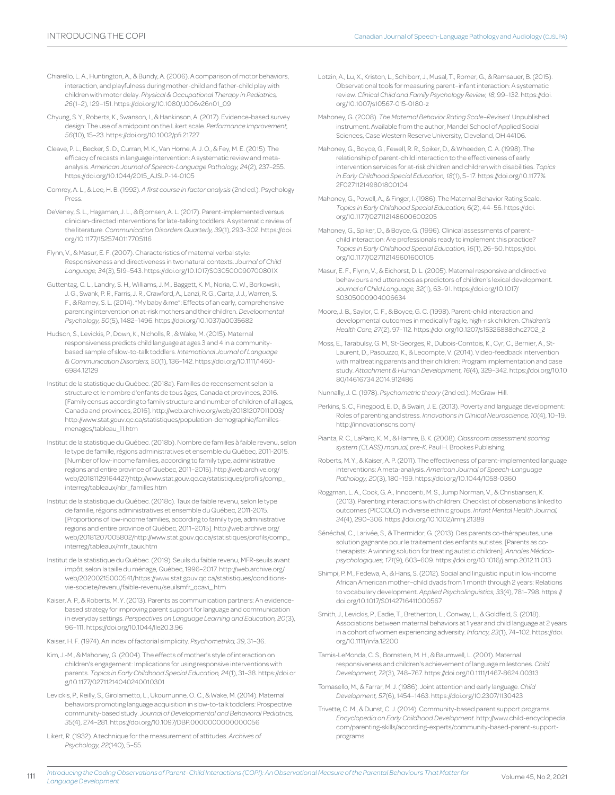- Chiarello, L. A., Huntington, A., & Bundy, A. (2006). A comparison of motor behaviors, interaction, and playfulness during mother-child and father-child play with children with motor delay. *Physical & Occupational Therapy in Pediatrics, 26*(1–2), 129–151[. https://doi.org/10.1080/J006v26n01\\_09](https://doi.org/10.1080/J006v26n01_09)
- Chyung, S. Y., Roberts, K., Swanson, I., & Hankinson, A. (2017). Evidence-based survey design: The use of a midpoint on the Likert scale. *Performance Improvement, 56*(10), 15–23. <https://doi.org/10.1002/pfi.21727>
- Cleave, P. L., Becker, S. D., Curran, M. K., Van Horne, A. J. O., & Fey, M. E. (2015). The efficacy of recasts in language intervention: A systematic review and metaanalysis. *American Journal of Speech-Language Pathology, 24*(2), 237–255. [https://doi.org/10.1044/2015\\_AJSLP-14-0105](https://doi.org/10.1044/2015_AJSLP-14-0105)
- Comrey, A. L., & Lee, H. B. (1992). *A first course in factor analysis* (2nd ed.). Psychology Press.
- DeVeney, S. L., Hagaman, J. L., & Bjornsen, A. L. (2017). Parent-implemented versus clinician-directed interventions for late-talking toddlers: A systematic review of the literature. *Communication Disorders Quarterly, 39*(1), 293–302. [https://doi.](https://doi.org/10.1177/1525740117705116) [org/10.1177/1525740117705116](https://doi.org/10.1177/1525740117705116)
- Flynn, V., & Masur, E. F. (2007). Characteristics of maternal verbal style: Responsiveness and directiveness in two natural contexts. *Journal of Child Language, 34*(3), 519–543. <https://doi.org/10.1017/S030500090700801X>
- Guttentag, C. L., Landry, S. H., Williams, J. M., Baggett, K. M., Noria, C. W., Borkowski, J. G., Swank, P. R., Farris, J. R., Crawford, A., Lanzi, R. G., Carta, J. J., Warren, S. F., & Ramey, S. L. (2014). "My baby & me": Effects of an early, comprehensive parenting intervention on at-risk mothers and their children. *Developmental Psychology, 50*(5), 1482–1496.<https://doi.org/10.1037/a0035682>
- Hudson, S., Levickis, P., Down, K., Nicholls, R., & Wake, M. (2015). Maternal responsiveness predicts child language at ages 3 and 4 in a communitybased sample of slow-to-talk toddlers. *International Journal of Language & Communication Disorders, 50*(1), 136–142. [https://doi.org/10.1111/1460-](https://doi.org/10.1111/1460-6984.12129) [6984.12129](https://doi.org/10.1111/1460-6984.12129)
- Institut de la statistique du Québec. (2018a). Familles de recensement selon la structure et le nombre d'enfants de tous âges, Canada et provinces, 2016. [Family census according to family structure and number of children of all ages, Canada and provinces, 2016]. [http://web.archive.org/web/20181207011003/](http://web.archive.org/web/20181207011003/http://www.stat.gouv.qc.ca/statistiques/population-demographie/familles-menages/tableau_11.htm) [http://www.stat.gouv.qc.ca/statistiques/population-demographie/familles](http://web.archive.org/web/20181207011003/http://www.stat.gouv.qc.ca/statistiques/population-demographie/familles-menages/tableau_11.htm)[menages/tableau\\_11.htm](http://web.archive.org/web/20181207011003/http://www.stat.gouv.qc.ca/statistiques/population-demographie/familles-menages/tableau_11.htm)
- Institut de la statistique du Québec. (2018b). Nombre de familles à faible revenu, selon le type de famille, régions administratives et ensemble du Québec, 2011-2015. [Number of low-income families, according to family type, administrative regions and entire province of Quebec, 2011–2015). [http://web.archive.org/](http://web.archive.org/web/20181129164427/http://www.stat.gouv.qc.ca/statistiques/profils/comp_interreg/tableaux/nbr_familles.htm) [web/20181129164427/http://www.stat.gouv.qc.ca/statistiques/profils/comp\\_](http://web.archive.org/web/20181129164427/http://www.stat.gouv.qc.ca/statistiques/profils/comp_interreg/tableaux/nbr_familles.htm) [interreg/tableaux/nbr\\_familles.htm](http://web.archive.org/web/20181129164427/http://www.stat.gouv.qc.ca/statistiques/profils/comp_interreg/tableaux/nbr_familles.htm)
- Institut de la statistique du Québec. (2018c). Taux de faible revenu, selon le type de famille, régions administratives et ensemble du Québec, 2011-2015. [Proportions of low-income families, according to family type, administrative regions and entire province of Québec, 2011–2015]. [http://web.archive.org/](http://web.archive.org/web/20181207005802/http://www.stat.gouv.qc.ca/statistiques/profils/comp_interreg/tableaux/mfr_taux.htm) [web/20181207005802/http://www.stat.gouv.qc.ca/statistiques/profils/comp\\_](http://web.archive.org/web/20181207005802/http://www.stat.gouv.qc.ca/statistiques/profils/comp_interreg/tableaux/mfr_taux.htm) [interreg/tableaux/mfr\\_taux.htm](http://web.archive.org/web/20181207005802/http://www.stat.gouv.qc.ca/statistiques/profils/comp_interreg/tableaux/mfr_taux.htm)
- Institut de la statistique du Québec. (2019). Seuils du faible revenu, MFR-seuils avant impôt, selon la taille du ménage, Québec, 1996–2017. [http://web.archive.org/](http://web.archive.org/web/20200215000541/https://www.stat.gouv.qc.ca/statistiques/conditions-vie-societe/revenu/faible-revenu/seuilsmfr_qcavi_.htm) [web/20200215000541/https://www.stat.gouv.qc.ca/statistiques/conditions](http://web.archive.org/web/20200215000541/https://www.stat.gouv.qc.ca/statistiques/conditions-vie-societe/revenu/faible-revenu/seuilsmfr_qcavi_.htm)[vie-societe/revenu/faible-revenu/seuilsmfr\\_qcavi\\_.htm](http://web.archive.org/web/20200215000541/https://www.stat.gouv.qc.ca/statistiques/conditions-vie-societe/revenu/faible-revenu/seuilsmfr_qcavi_.htm)
- Kaiser, A. P., & Roberts, M. Y. (2013). Parents as communication partners: An evidencebased strategy for improving parent support for language and communication in everyday settings. *Perspectives on Language Learning and Education, 20*(3), 96–111. <https://doi.org/10.1044/lle20.3.96>
- Kaiser, H. F. (1974). An index of factorial simplicity. *Psychometrika, 39*, 31–36.
- Kim, J.-M., & Mahoney, G. (2004). The effects of mother's style of interaction on children's engagement: Implications for using responsive interventions with parents. *Topics in Early Childhood Special Education, 24*(1), 31–38. [https://doi.or](https://doi.org/10.1177/02711214040240010301) [g/10.1177/02711214040240010301](https://doi.org/10.1177/02711214040240010301)
- Levickis, P., Reilly, S., Girolametto, L., Ukoumunne, O. C., & Wake, M. (2014). Maternal behaviors promoting language acquisition in slow-to-talk toddlers: Prospective community-based study. *Journal of Developmental and Behavioral Pediatrics, 35*(4), 274–281. <https://doi.org/10.1097/DBP.0000000000000056>
- Likert, R. (1932). A technique for the measurement of attitudes. *Archives of Psychology, 22*(140), 5–55.

111

- Lotzin, A., Lu, X., Kriston, L., Schiborr, J., Musal, T., Romer, G., & Ramsauer, B. (2015). Observational tools for measuring parent–infant interaction: A systematic review. *Clinical Child and Family Psychology Review, 18*, 99–132. [https://doi.](https://doi.org/10.1007/s10567-015-0180-z) [org/10.1007/s10567-015-0180-z](https://doi.org/10.1007/s10567-015-0180-z)
- Mahoney, G. (2008). *The Maternal Behavior Rating Scale–Revised.* Unpublished instrument. Available from the author, Mandel School of Applied Social Sciences, Case Western Reserve University, Cleveland, OH 44106.
- Mahoney, G., Boyce, G., Fewell, R. R., Spiker, D., & Wheeden, C. A. (1998). The relationship of parent-child interaction to the effectiveness of early intervention services for at-risk children and children with disabilities. *Topics in Early Childhood Special Education, 18*(1), 5–17. [https://doi.org/10.1177%](https://doi.org/10.1177%2F027112149801800104) [2F027112149801800104](https://doi.org/10.1177%2F027112149801800104)
- Mahoney, G., Powell, A., & Finger, I. (1986). The Maternal Behavior Rating Scale. *Topics in Early Childhood Special Education, 6*(2), 44–56. [https://doi.](https://doi.org/10.1177%2F027112149801800104) [org/10.1177/027112148600600205](https://doi.org/10.1177%2F027112149801800104)
- Mahoney, G., Spiker, D., & Boyce, G. (1996). Clinical assessments of parent– child interaction: Are professionals ready to implement this practice? *Topics in Early Childhood Special Education, 16*(1), 26–50. [https://doi.](https://doi.org/10.1177/027112149601600105) [org/10.1177/027112149601600105](https://doi.org/10.1177/027112149601600105)
- Masur, E. F., Flynn, V., & Eichorst, D. L. (2005). Maternal responsive and directive behaviours and utterances as predictors of children's lexical development. *Journal of Child Language, 32*(1), 63–91. [https://doi.org/10.1017/](https://doi.org/10.1017/S0305000904006634) [S0305000904006634](https://doi.org/10.1017/S0305000904006634)
- Moore, J. B., Saylor, C. F., & Boyce, G. C. (1998). Parent-child interaction and developmental outcomes in medically fragile, high-risk children. *Children's Health Care, 27*(2), 97–112. [https://doi.org/10.1207/s15326888chc2702\\_2](https://doi.org/10.1207/s15326888chc2702_2)
- Moss, E., Tarabulsy, G. M., St-Georges, R., Dubois-Comtois, K., Cyr, C., Bernier, A., St-Laurent, D., Pascuzzo, K., & Lecompte, V. (2014). Video-feedback intervention with maltreating parents and their children: Program implementation and case study. *Attachment & Human Development, 16*(4), 329–342. [https://doi.org/10.10](https://doi.org/10.1080/14616734.2014.912486) [80/14616734.2014.912486](https://doi.org/10.1080/14616734.2014.912486)

Nunnally, J. C. (1978). *Psychometric theory* (2nd ed.). McGraw-Hill.

- Perkins, S. C., Finegood, E. D., & Swain, J. E. (2013). Poverty and language development: Roles of parenting and stress. *Innovations in Clinical Neuroscience, 10*(4), 10–19. <http://innovationscns.com/>
- Pianta, R. C., LaParo, K. M., & Hamre, B. K. (2008). *Classroom assessment scoring system (CLASS) manual, pre-K*. Paul H. Brookes Publishing.
- Roberts, M. Y., & Kaiser, A. P. (2011). The effectiveness of parent-implemented language interventions: A meta-analysis. *American Journal of Speech-Language Pathology, 20*(3), 180–199. [https://doi.org/10.1044/1058-0360](https://doi.org/10.1044/1058-0360(2011/10-0055))
- Roggman, L. A., Cook, G. A., Innocenti, M. S., Jump Norman, V., & Christiansen, K. (2013). Parenting interactions with children: Checklist of observations linked to outcomes (PICCOLO) in diverse ethnic groups. *Infant Mental Health Journal, 34*(4), 290–306.<https://doi.org/10.1002/imhj.21389>
- Sénéchal, C., Larivée, S., & Thermidor, G. (2013). Des parents co-thérapeutes, une solution gagnante pour le traitement des enfants autistes. [Parents as cotherapists: A winning solution for treating autistic children]. *Annales Médicopsychologiques, 171*(9), 603–609. <https://doi.org/10.1016/j.amp.2012.11.013>
- Shimpi, P. M., Fedewa, A., & Hans, S. (2012). Social and linguistic input in low-income African American mother–child dyads from 1 month through 2 years: Relations to vocabulary development. *Applied Psycholinguistics, 33*(4), 781–798. [https://](https://doi.org/10.1017/S0142716411000567) [doi.org/10.1017/S0142716411000567](https://doi.org/10.1017/S0142716411000567)
- Smith, J., Levickis, P., Eadie, T., Bretherton, L., Conway, L., & Goldfeld, S. (2018). Associations between maternal behaviors at 1 year and child language at 2 years in a cohort of women experiencing adversity. *Infancy, 23*(1), 74–102. [https://doi.](https://doi.org/10.1111/infa.12200) [org/10.1111/infa.12200](https://doi.org/10.1111/infa.12200)
- Tamis-LeMonda, C. S., Bornstein, M. H., & Baumwell, L. (2001). Maternal responsiveness and children's achievement of language milestones. *Child Development, 72*(3), 748–767. <https://doi.org/10.1111/1467-8624.00313>
- Tomasello, M., & Farrar, M. J. (1986). Joint attention and early language. *Child Development, 57*(6), 1454–1463.<https://doi.org/10.2307/1130423>
- Trivette, C. M., & Dunst, C. J. (2014). Community-based parent support programs. *Encyclopedia on Early Childhood Development*. [http://www.child-encyclopedia.](http://www.child-encyclopedia.com/parenting-skills/according-experts/community-based-parent-support-programs) [com/parenting-skills/according-experts/community-based-parent-support](http://www.child-encyclopedia.com/parenting-skills/according-experts/community-based-parent-support-programs)[programs](http://www.child-encyclopedia.com/parenting-skills/according-experts/community-based-parent-support-programs)